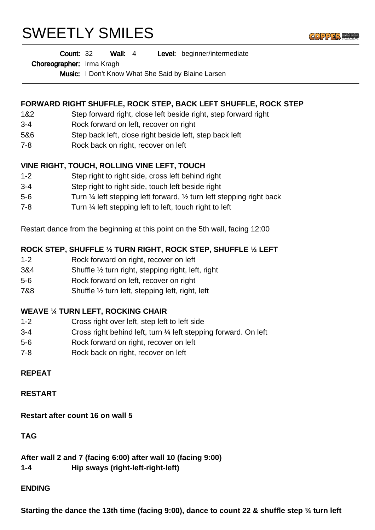# SWEETLY SMILES



#### Wall: 4 Level: beginner/intermediate Count: 32

Choreographer: Irma Kragh

Music: I Don't Know What She Said by Blaine Larsen

# **FORWARD RIGHT SHUFFLE, ROCK STEP, BACK LEFT SHUFFLE, ROCK STEP**

- 1&2 Step forward right, close left beside right, step forward right
- 3-4 Rock forward on left, recover on right
- 5&6 Step back left, close right beside left, step back left
- 7-8 Rock back on right, recover on left

## **VINE RIGHT, TOUCH, ROLLING VINE LEFT, TOUCH**

- 1-2 Step right to right side, cross left behind right
- 3-4 Step right to right side, touch left beside right
- 5-6 Turn ¼ left stepping left forward, ½ turn left stepping right back
- 7-8 Turn ¼ left stepping left to left, touch right to left

Restart dance from the beginning at this point on the 5th wall, facing 12:00

## **ROCK STEP, SHUFFLE ½ TURN RIGHT, ROCK STEP, SHUFFLE ½ LEFT**

- 1-2 Rock forward on right, recover on left
- 3&4 Shuffle ½ turn right, stepping right, left, right
- 5-6 Rock forward on left, recover on right
- 7&8 Shuffle ½ turn left, stepping left, right, left

## **WEAVE ¼ TURN LEFT, ROCKING CHAIR**

- 1-2 Cross right over left, step left to left side
- 3-4 Cross right behind left, turn ¼ left stepping forward. On left
- 5-6 Rock forward on right, recover on left
- 7-8 Rock back on right, recover on left

## **REPEAT**

#### **RESTART**

**Restart after count 16 on wall 5**

## **TAG**

**After wall 2 and 7 (facing 6:00) after wall 10 (facing 9:00) 1-4 Hip sways (right-left-right-left)**

#### **ENDING**

**Starting the dance the 13th time (facing 9:00), dance to count 22 & shuffle step ¾ turn left**